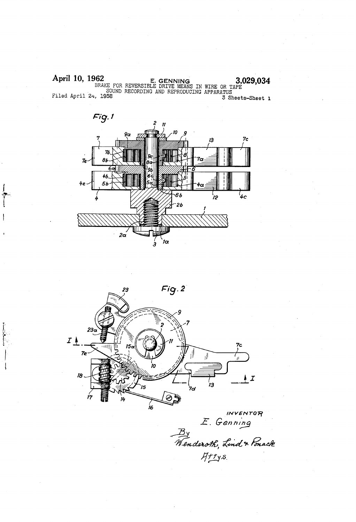April 10, 1962 E. GENNING  $\frac{3.029}{3.029}$ , 3.029,034 SOUND RECORDING AND REPRODUCING APPARATUS<br>3 Sh 3 Sheets-Sheet 1





INVENTOFY  $\mathcal{L}$ . Genning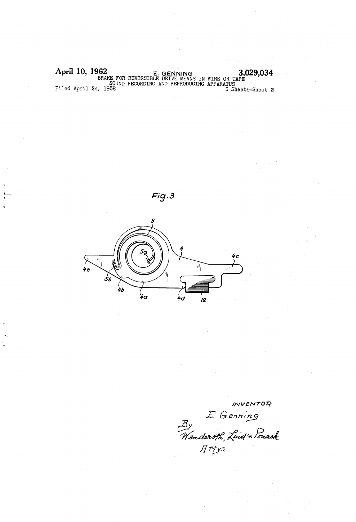April 10, 1962 E. GENNING 3,029,034<br>BRAKE FOR REVERSIBLE DRIVE MEANS IN WIRE OR TAPE SOUND RECORDING AND REPRODUCING APPARATUS Filed April 24, 1958 3 Sheets-Sheet 2





lNVENTOF? E. Genning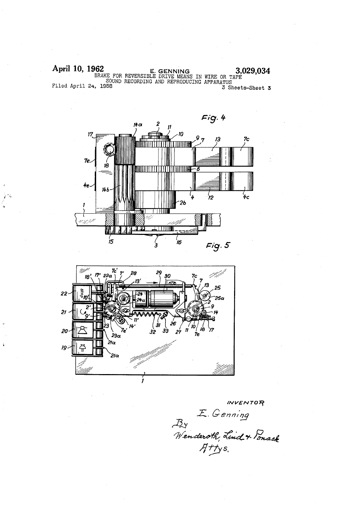April 10, 1962 April 10, 1962 E. GENNING 3,029,034<br>
BRAKE FOR REVERSIBLE DRIVE MEANS IN WIRE OR TAPE<br>
SOUND RECORDING AND REPRODUCING APPARATUS<br>
3 Sheets-Sheet 3





WVENTOR E. Genning<br>By<br>Wenderoth, Lind + Ponack<br>Attys.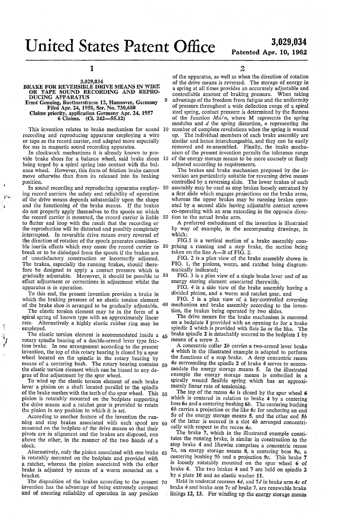## United States Patent Office 3,029,034

 $\overline{5}$ 

# Patented Apr. 10, 1962

1

### . 3,029,034 BRAKE FOR REVERSIBLE DRIVE MEANS IN WIRE OR TAPE SOUND RECORDING AND REPRODUCING APPARATUS

Ernst Genning, Buettnerstrasse 12, Hannover, Germany Claims priority, application Germany Apr. 24, 1957

6 Claims. (Cl. 242-5512)

This invention relates to brake mechanism for sound 10 recording and reproducing apparatus employing a wire or tape as the record carrier, and adapted more especially for use in magnetic sound recording apparatus.

In clockwork mechanisms it is already known to provide brake shoes for a balance wheel, said brake shoes 15 being urged by a spiral spring into contact with the bal-<br>ance wheel. However, this form of friction brake cannot move otherwise than from its released into its braking position.

In sound recording and reproducing apparatus employ- 20 ing record carriers the safety and reliability of operation of the drive means depends substantially upon the shape and the functioning of the brake means. If the brakes do not properly apply themselves to the spools on which the record carrier is mounted, the record carrier is liable 25 to flutter and loop with the result that the recording or the reproduction will be distorted and possibly completely interrupted. In reversible drive means every reversal of the direction of rotation of the spools generates considera ble inertia effects which may cause the record carrier to 30 prising a running and a stop brake, the section being break or to be dislodged from the spools if the brakes are of unsatisfactory construction or incorrectly adjusted. The brakes, especially the running brakes, should there fore be designed to apply a contact pressure which is gradually adjustable. Moreover, it should be possible to 35 effect adjustment or corrections in adjustment whilst the apparatus is in operation.

To this end, the present invention provides a brake in which the braking pressure of an elastic torsion element of the brake shoe is arranged to be gradually adjustable.  $40$ 

The elastic torsion element may be in the form of a spiral spring of known type with an approximately linear rate. Alternatively a highly elastic rubber ring may. be employed.

 $\lambda$ 

The elastic torsion element is accommodated inside a  $45$ rotary spindle bearing of a double-armed lever type friction brake. In one arrangement according to the present invention, the top of this rotary bearing is closed by a spur<br>wheel located on the spindle in the rotary bearing by wheel located on the spindle in the rotary bearing by means of a centering bush. The rotary bearing contains  $50$ the elastic torsion element which can be biased to any de gree of fine adjustment by the spur wheel.

To wind up the elastic torsion element of each brake lever a pinion on a shaft located parallel to the spindle of the brake meshes with the teeth of the spur wheel. This  $55$ pinion is rotatably mounted on the bedplate supporting the drive means and a ratchet gear is provided to retain the pinion in any position to which it is set.<br>According to another feature of the invention the run-

According to another feature of the invention the running and stop brakes associated with each spool are 60 mounted on the bedplate of the drive means so that their pivots are in alignment and the brakes are disposed, one above the other, in the manner of the two hands of a clock.

Alternatively, only the pinion associated with one brake 65 is rotatably mounted on the bedplate and provided with a ratchet, Whereas the pinion associated with the other brake is adjusted by means of a worm mounted on a bracket.

The disposition of the brakes according to the present 70 invention has the advantage of being extremely compact and of ensuring reliability of operation in any position

2

of the apparatus, as well as when the direction of rotation a spring at all times provides an accurately adjustable and controllable amount of braking pressure. When taking advantage of the freedom from fatigue and the uniformity of pressure throughout a wide deflection range of a spiral steel spring, contact pressure is determined by the flatness of the function  $Md/n$ , where M represents the spring modulus and  $d$  the spring distortion,  $n$  representing the number of complete revolutions when the spring is wound up. The individual members of each brake assembly are similar and hence interchangeable, and they can be easily removed and re-assembled. Finally, the brake mecha nism of the present invention permits the tolerance range of the energy storage means to be more coarsely or finely adjusted according to requirements.

The brakes and brake mechanism proposed by the in vention are particularly suitable for reversing drive means controlled by a reversing slide. The lower brakes of each assembly may be used as stop brakes loosely entrained by a first slide which engages projections on the brake arms, whereas the upper brakes may be running brakes oper ated by a second slide having adjustable contact screws co-operating with an arm extending in the opposite direc tion to the actual brake arm.

A preferred embodiment of the invention is illustrated by way of example, in the accompaning drawings, in which:

FIG.1 is a vertical section of a brake assembly comtaken on the line A—B of FIG. 2.

FIG. 2'is a plan view of the brake assembly shown in FIG. 1, the pinions, worm, and ratchet being diagram matically indicated;

FIG. 3 is a plan view of a single brake lever and of an energy storing element associated therewith;<br>FIG. 4 is a side view of the brake assembly having a

divided pinion, and a worm and ratchet gear, and

FIG. 5 is a plan view of a key-controlled reversing mechanism and brake assembly according to the inven

tion, the brakes being operated by two slides. on a bedplate 1 provided with an opening  $I_a$  for a brake spindle  $2$  which is provided with flats  $2a$  or the like. The brake spindle 2 is detachably secured to the bedplate 1 by means of a screw 3.

A concentric collar 2b carries a two-armed lever brake 4 which in the illustrated example is adapted to perform the functions of a stop brake. A deep concentric recess  $4a$  surrounding the spindle 2 of brake 4 serves to accommodate the energy storage means 5. In the illustrated example the energy storage means is embodied in a spirally wound flexible spring which has an approximately linear rate of tensioning.

The top of the recess  $4a$  is closed by the spur wheel 6 which is centered in relation to brake 4 by a centering boss  $6a$  and a centering bushing  $6b$ . The centering bushing  $6b$  carries a projection or the like  $6c$  for anchoring an end 5a of the energy storage means 5, and the other end 5b of the latter is secured in a slot 4b arranged concentri cally with respect to the recess 4a.

The brake 7, which in the illustrated example consti-' tutes the running brake, is similar in construction to the stop brake 4 and likewise comprises a concentric recess 7a, an energy storage means  $\overline{8}$ , a centering boss  $9a$ , a centering bushing  $9b$  and a projection 9c. This brake 7 is loosely rotatably mounted on the spur wheel 6 of brake 4. The two brakes 4 and 7 are held on spindle 2 by a plate 10 and an elastic washer 11.

Held in undercut recesses  $4d$ , and  $7d$  in brake arm  $4c$  of brake 4 and brake arm 7c of brake 7, are renewable brake linings 12, 13. For winding up the energy storage means